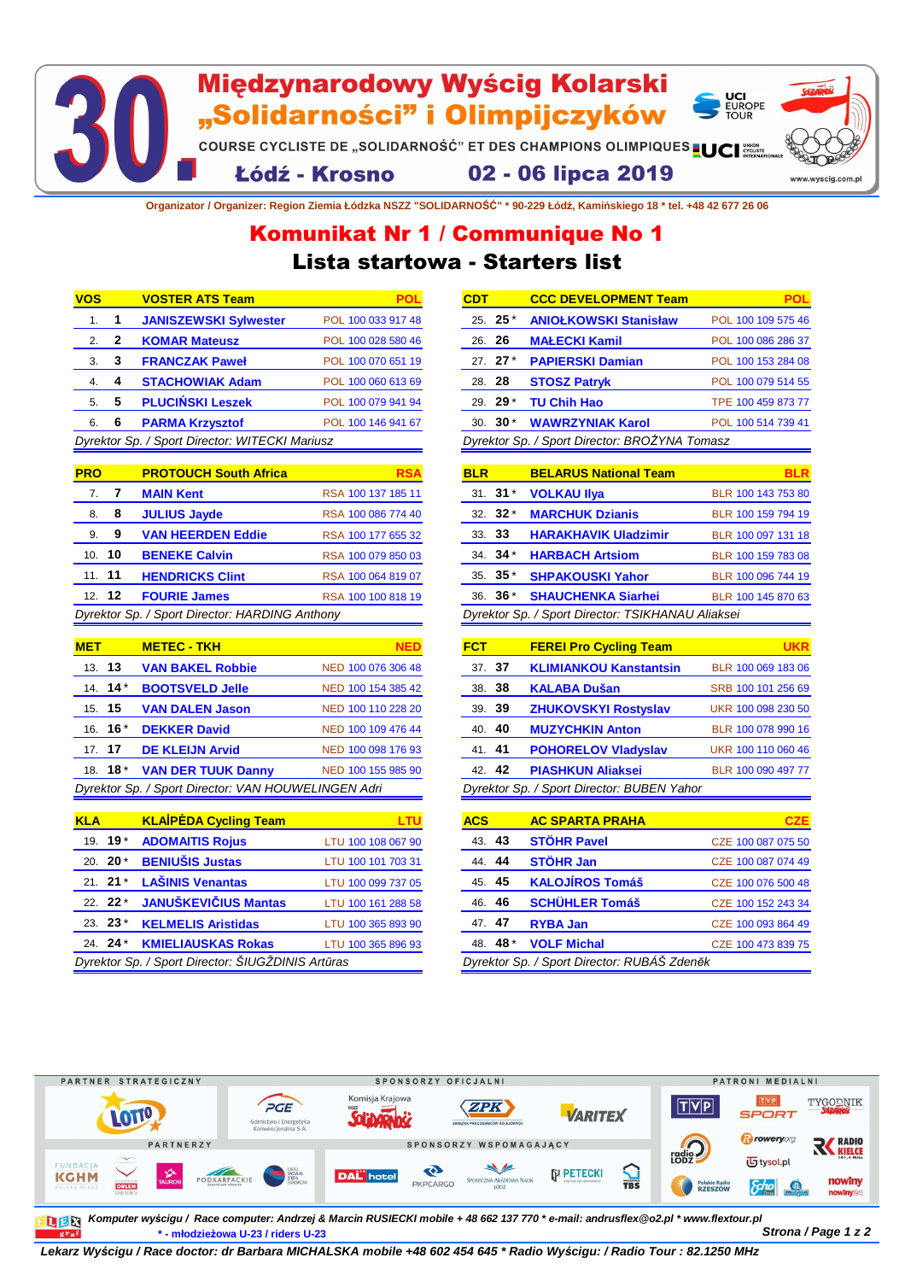## Międzynarodowy Wyścig Kolarski UCI<br>EUROPE<br>TOUR "Solidarności" i Olimpijczyków COURSE CYCLISTE DE "SOLIDARNOŚĆ" ET DES CHAMPIONS OLIMPIQUES LUCI 02 - 06 lipca 2019 Łódź - Krosno www.wyscig.

**Organizator / Organizer: Region Ziemia Łódzka NSZZ "SOLIDARNOŚĆ" \* 90-229 Łódź, Kamińskiego 18 \* tel. +48 42 677 26 06**

## Lista startowa - Starters list Komunikat Nr 1 / Communique No 1

| <b>VOS</b>                                     |   | <b>VOSTER ATS Team</b>       |                    |
|------------------------------------------------|---|------------------------------|--------------------|
| 1.                                             | 1 | <b>JANISZEWSKI Sylwester</b> | POL 100 033 917 48 |
| $\mathcal{P}$                                  | 2 | <b>KOMAR Mateusz</b>         | POL 100 028 580 46 |
| 3.                                             | 3 | <b>FRANCZAK Paweł</b>        | POL 100 070 651 19 |
| 4.                                             | 4 | <b>STACHOWIAK Adam</b>       | POL 100 060 613 69 |
| 5.                                             | 5 | <b>PLUCIŃSKI Leszek</b>      | POL 100 079 941 94 |
| 6.                                             | 6 | <b>PARMA Krzysztof</b>       | POL 100 146 941 67 |
| Dyrektor Sp. / Sport Director: WITECKI Mariusz |   |                              |                    |

| <b>PRO</b>                                     |               | <b>PROTOUCH South Africa</b> | RSA                |
|------------------------------------------------|---------------|------------------------------|--------------------|
| 7.                                             | -7            | <b>MAIN Kent</b>             | RSA 100 137 185 11 |
| 8.                                             | 8             | <b>JULIUS Jayde</b>          | RSA 100 086 774 40 |
| 9.                                             | 9             | <b>VAN HEERDEN Eddie</b>     | RSA 100 177 655 32 |
|                                                | 10. <b>10</b> | <b>BENEKE Calvin</b>         | RSA 100 079 850 03 |
| 11.11                                          |               | <b>HENDRICKS Clint</b>       | RSA 100 064 819 07 |
|                                                | $12 \quad 12$ | <b>FOURIE James</b>          | RSA 100 100 818 19 |
| Dyrektor Sp. / Sport Director: HARDING Anthony |               |                              |                    |

| <b>MET</b>                                          |                   | <b>METEC - TKH</b>        |                    |
|-----------------------------------------------------|-------------------|---------------------------|--------------------|
| 13.13                                               |                   | <b>VAN BAKEL Robbie</b>   | NED 100 076 306 48 |
|                                                     | 14. $14$ *        | <b>BOOTSVELD Jelle</b>    | NED 100 154 385 42 |
| 15. 15                                              |                   | <b>VAN DALEN Jason</b>    | NED 100 110 228 20 |
|                                                     | 16. <b>16</b> $*$ | <b>DEKKER David</b>       | NED 100 109 476 44 |
| 17. 17                                              |                   | <b>DE KLEIJN Arvid</b>    | NED 100 098 176 93 |
|                                                     | 18. <b>18</b> *   | <b>VAN DER TUUK Danny</b> | NED 100 155 985 90 |
| Dyrektor Sp. / Sport Director: VAN HOUWELINGEN Adri |                   |                           |                    |

| <b>KLA</b>                                        |  | <b>KLAIPEDA Cycling Team</b> | LTU                |  |
|---------------------------------------------------|--|------------------------------|--------------------|--|
| 19. <b>19</b> $*$                                 |  | <b>ADOMAITIS Rojus</b>       | LTU 100 108 067 90 |  |
| 20. $20^*$                                        |  | <b>BENIUŠIS Justas</b>       | LTU 100 101 703 31 |  |
| $21 \t21*$                                        |  | <b>LAŠINIS Venantas</b>      | LTU 100 099 737 05 |  |
| $22.22*$                                          |  | <b>JANUŠKEVIČIUS Mantas</b>  | LTU 100 161 288 58 |  |
| 23. $23*$                                         |  | <b>KELMELIS Aristidas</b>    | LTU 100 365 893 90 |  |
| 24. $24$ *                                        |  | <b>KMIELIAUSKAS Rokas</b>    | LTU 100 365 896 93 |  |
| Dyrektor Sp. / Sport Director: ŠIUGŽDINIS Artūras |  |                              |                    |  |

| <b>CDT</b> | <b>CCC DEVELOPMENT Team</b>                   | POL                |
|------------|-----------------------------------------------|--------------------|
| $25.25*$   | <b>ANIOŁKOWSKI Stanisław</b>                  | POL 100 109 575 46 |
| 26. 26     | <b>MAŁECKI Kamil</b>                          | POL 100 086 286 37 |
| 27. $27 *$ | <b>PAPIERSKI Damian</b>                       | POL 100 153 284 08 |
| 28. 28     | <b>STOSZ Patryk</b>                           | POL 100 079 514 55 |
| 29. $29*$  | <b>TU Chih Hao</b>                            | TPE 100 459 873 77 |
|            | 30. 30* WAWRZYNIAK Karol                      | POL 100 514 739 41 |
|            | Dyrektor Sp. / Sport Director: BROŻYNA Tomasz |                    |

| <b>BLR</b>                                        |           | <b>BELARUS National Team</b> | RI R               |  |
|---------------------------------------------------|-----------|------------------------------|--------------------|--|
|                                                   | $31.31*$  | <b>VOLKAU IIva</b>           | BLR 100 143 753 80 |  |
|                                                   | $32.32*$  | <b>MARCHUK Dzianis</b>       | BLR 100 159 794 19 |  |
| 33. 33                                            |           | <b>HARAKHAVIK Uladzimir</b>  | BLR 100 097 131 18 |  |
|                                                   | $34.34*$  | <b>HARBACH Artsiom</b>       | BLR 100 159 783 08 |  |
|                                                   | 35. $35*$ | <b>SHPAKOUSKI Yahor</b>      | BLR 100 096 744 19 |  |
|                                                   | 36. $36*$ | <b>SHAUCHENKA Siarhei</b>    | BLR 100 145 870 63 |  |
| Dyrektor Sp. / Sport Director: TSIKHANAU Aliaksei |           |                              |                    |  |

| <b>FCT</b> | <b>FEREI Pro Cycling Team</b>              |                    |
|------------|--------------------------------------------|--------------------|
| 37. 37     | <b>KLIMIANKOU Kanstantsin</b>              | BLR 100 069 183 06 |
| 38<br>38.  | <b>KALABA Dušan</b>                        | SRB 100 101 256 69 |
| -39<br>39. | <b>ZHUKOVSKYI Rostyslav</b>                | UKR 100 098 230 50 |
| -40<br>40. | <b>MUZYCHKIN Anton</b>                     | BLR 100 078 990 16 |
| 41. 41     | <b>POHORELOV Vladyslav</b>                 | UKR 100 110 060 46 |
| 42. 42     | <b>PIASHKUN Aliaksei</b>                   | BLR 100 090 497 77 |
|            | Dyrektor Sp. / Sport Director: BUBEN Yahor |                    |

| <b>ACS</b> |          | <b>AC SPARTA PRAHA</b>                      | <b>CZE</b>         |
|------------|----------|---------------------------------------------|--------------------|
|            | 43. 43   | <b>STÖHR Pavel</b>                          | CZE 100 087 075 50 |
|            | 44.44    | <b>STÖHR Jan</b>                            | CZE 100 087 074 49 |
|            | 45.45    | <b>KALOJÍROS Tomáš</b>                      | CZE 100 076 500 48 |
|            | 46.46    | <b>SCHÜHLER Tomáš</b>                       | CZE 100 152 243 34 |
|            | 47.47    | <b>RYBA Jan</b>                             | CZE 100 093 864 49 |
|            | 48. 48 * | <b>VOLF Michal</b>                          | CZE 100 473 839 75 |
|            |          | Dyrektor Sp. / Sport Director: RUBÁŠ Zdeněk |                    |



**\* - młodzieżowa U-23 / riders U-23 Strona / Page 1 z 2 Komputer wyścigu / Race computer: Andrzej & Marcin RUSIECKI mobile + 48 662 137 770 \* e-mail: andrusflex@o2.pl \* www.flextour.pl** 

**Lekarz Wy***ś***cigu / Race doctor: dr Barbara MICHALSKA mobile +48 602 454 645 \* Radio Wy***ś***cigu: / Radio Tour : 82.1250 MHz**